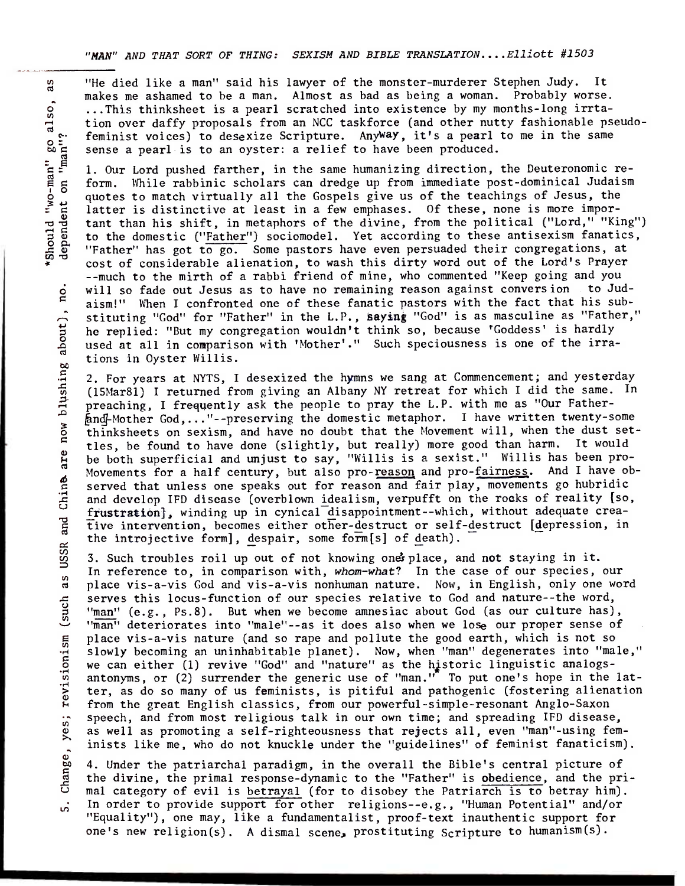**"MAN"** AND THAT SORT OF THING: SEXISM AND BIBLE TRANSLATION....E1liott #1503

on "man"?

dependent

are now blushing about),

ingabout),no.

 $\overline{\mathbf{n}}$ 

"He died like a man" said his lawyer of the monster-murderer Stephen Judy. It<br>makes me ashamed to be a man. Almost as bad as being a woman. Probably worse.<br>...This thinksheet is a pearl scratched into existence by my month ...This thinksheet is a pearl scratched into existence by my months-long irrta tion over daffy proposals from an NCC taskforce (and other nutty fashionable pseudofeminist voices) to desexize Scripture. Anyway, it's a pearl to me in the same

or feminist voices) to desexize scripture. Anyway, it's a pearl<br>sense a pearl is to an oyster: a relief to have been produced.<br>Let  $\sum_{i=1}^{n}$  1. Our Lord pushed farther, in the same humanizing direction,<br>form. While rabb 1. Our Lord pushed farther, in the same humanizing direction, the Deuteronomic reform. While rabbinic scholars can dredge up from immediate post-dominical Judaism quotes to match virtually all the Gospels give us of the teachings of Jesus, the latter is distinctive at least in a few emphases. Of these, none is more important than his shift, in metaphors of the divine, from the political ("Lord," "King") to the domestic ("Father") sociomodel. Yet according to these antisexism fanatics, "Father" has got to go. Some pastors have even persuaded their congregations, at cost of considerable alienation, to wash this dirty word out of the Lord's Prayer --much to the mirth of a rabbi friend of mine, who commented "Keep going and you will so fade out Jesus as to have no remaining reason against conversion to Judaism!" When I confronted one of these fanatic pastors with the fact that his substituting "God" for "Father" in the L.P., **saying** "God" is as masculine as "Father," he replied: "But my congregation wouldn't think so, because 'Goddess' is hardly used at all in comparison with 'Mother'." Such speciousness is one of the irrations in Oyster Willis. The disch like a mann" said his lawyer of the monotor-survicers forphon Joby. It is not allowed by the same in the same in the same in the same in the same in the same in the same in the same in the same in the same in th

2. For years at NYTS, I desexized the hymns we sang at Commencement; and yesterday (15Mar81) I returned from giving an Albany NY retreat for which I did the same. In preaching, I frequently ask the people to pray the L.P. with me as "Our Father- &ndj-Mother God,..."--preserving the domestic metaphor. I have written twenty-some thinksheets on sexism, and have no doubt that the Movement will, when the dust settles, be found to have done (slightly, but really) more good than harm. It would be both superficial and unjust to say, "Willis is a sexist." Willis has been pro-Movements for a half century, but also pro-reason and pro-fairness. And I have observed that unless one speaks out for reason and fair play, movements go hubridic and develop 1FD disease (overblown idealism, verpufft on the rocks of reality [so, frustration], winding up in cynical disappointment--which, without adequate creative intervention, becomes either other-destruct or self-destruct [depression, in the introjective form], despair, some form[s] of death).

3. Such troubles roil up out of not knowing onesplace, and **not** staying in it. In reference to, in comparison with, whom-what? In the case of our species, our place vis-a-vis God and vis-a-vis nonhuman nature. Now, in English, only one word serves this locus-function of our species relative to God and nature--the word, "man" (e.g., Ps.8). But when we become amnesiac about God (as our culture has), "man" deteriorates into "male"--as it does also when we lose our proper sense of place vis-a-vis nature (and so rape and pollute the good earth, which is not so slowly becoming an uninhabitable planet). Now, when "man" degenerates into "male," we can either (1) revive "God" and "nature" as the historic linguistic analogsantonyms, or (2) surrender the generic use of "man." To put one's hope in the latter, as do so many of us feminists, is pitiful and pathogenic (fostering alienation from the great English classics, from our powerful-simple-resonant Anglo-Saxon speech, and from most religious talk in our own time; and spreading 1FD disease, as well as promoting a self-righteousness that rejects all, even "man"-using feminists like me, who do not knuckle under the "guidelines" of feminist fanaticism). Change, yes; revisionism (such as USSR and Chine are now blus

Change, yes; revisionism (such as USSR and Chine. 4. Under the patriarchal paradigm, in the overall the Bible's central picture of the divine, the primal response-dynamic to the "Father" is obedience, and the primal category of evil is betrayal (for to disobey the Patriarch is to betray him). In order to provide support for other religions--e.g., "Human Potential" and/or <sub>io</sub>: "Equality"), one may, like a fundamentalist, proof-text inauthentic support for